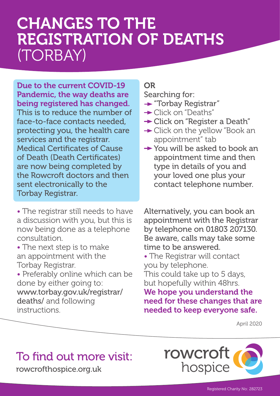# CHANGES TO THE REGISTRATION OF DEATHS (TORBAY)

#### Due to the current COVID-19 Pandemic, the way deaths are being registered has changed.

This is to reduce the number of face-to-face contacts needed, protecting you, the health care services and the registrar. Medical Certificates of Cause of Death (Death Certificates) are now being completed by the Rowcroft doctors and then sent electronically to the Torbay Registrar.

• The registrar still needs to have a discussion with you, but this is now being done as a telephone consultation.

- The next step is to make an appointment with the Torbay Registrar.
- Preferably online which can be done by either going to: www.torbay.gov.uk/registrar/ deaths/ and following instructions.

#### OR

Searching for:

- **Torbay Registrar"**
- **→ Click on "Deaths"**
- **→ Click on "Register a Death"**
- **→ Click on the yellow "Book an** appointment" tab
- **→ You will be asked to book an** appointment time and then type in details of you and your loved one plus your contact telephone number.

Alternatively, you can book an appointment with the Registrar by telephone on 01803 207130. Be aware, calls may take some time to be answered.

• The Registrar will contact you by telephone.

This could take up to 5 days, but hopefully within 48hrs.

We hope you understand the need for these changes that are needed to keep everyone safe.

April 2020

### To find out more visit:

rowcrofthospice.org.uk